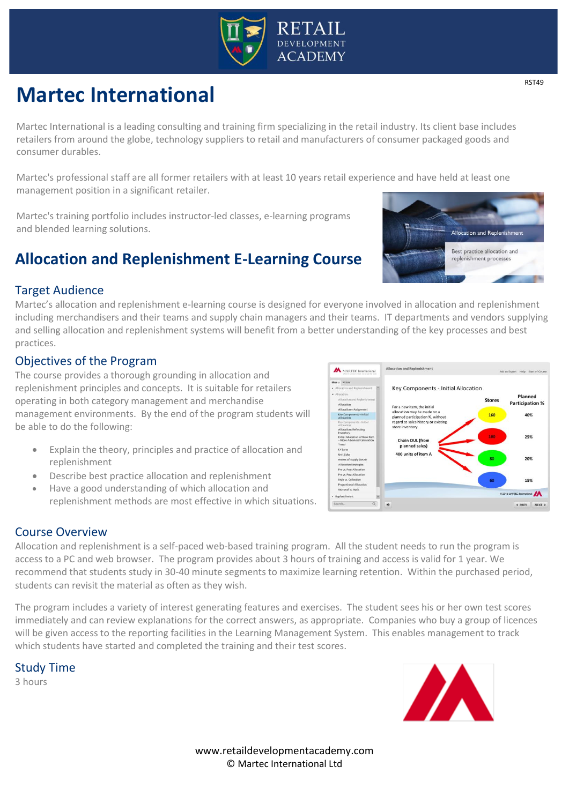

# **Martec International**

Martec International is a leading consulting and training firm specializing in the retail industry. Its client base includes retailers from around the globe, technology suppliers to retail and manufacturers of consumer packaged goods and consumer durables.

Martec's professional staff are all former retailers with at least 10 years retail experience and have held at least one management position in a significant retailer.

Martec's training portfolio includes instructor-led classes, e-learning programs and blended learning solutions.

## **Allocation and Replenishment E-Learning Course**

#### Target Audience

Martec's allocation and replenishment e-learning course is designed for everyone involved in allocation and replenishment including merchandisers and their teams and supply chain managers and their teams. IT departments and vendors supplying and selling allocation and replenishment systems will benefit from a better understanding of the key processes and best practices.

#### Objectives of the Program

The course provides a thorough grounding in allocation and replenishment principles and concepts. It is suitable for retailers operating in both category management and merchandise management environments. By the end of the program students will be able to do the following:

- Explain the theory, principles and practice of allocation and replenishment
- Describe best practice allocation and replenishment
- Have a good understanding of which allocation and replenishment methods are most effective in which situations.



Allocation and replenishment is a self-paced web-based training program. All the student needs to run the program is access to a PC and web browser. The program provides about 3 hours of training and access is valid for 1 year. We recommend that students study in 30-40 minute segments to maximize learning retention. Within the purchased period, students can revisit the material as often as they wish.

The program includes a variety of interest generating features and exercises. The student sees his or her own test scores immediately and can review explanations for the correct answers, as appropriate. Companies who buy a group of licences will be given access to the reporting facilities in the Learning Management System. This enables management to track which students have started and completed the training and their test scores.

Study Time

3 hours





Allocation and Replenishment

For a new item, the initial<br>allocation may be made on a<br>planned participation %, withou<br>regard to sales history or existir

Chain OUL (from planned sales) 00 units of item A

Key Components - Initial Allocation

**A** MARTEC International

lisk an Expert Help Start of Co

Stores

160

Planned

**Participation %** 

40%

25%

15%  $\lambda$ < PREV NEXT >